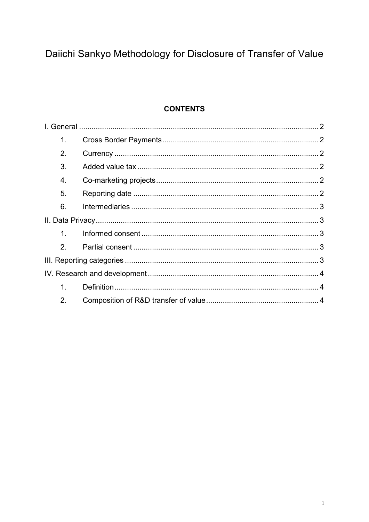# Daiichi Sankyo Methodology for Disclosure of Transfer of Value

## **CONTENTS**

| 1.      |  |  |
|---------|--|--|
| 2.      |  |  |
| 3.      |  |  |
| 4.      |  |  |
| 5.      |  |  |
| 6.      |  |  |
|         |  |  |
| $1_{-}$ |  |  |
| 2.      |  |  |
|         |  |  |
|         |  |  |
| 1.      |  |  |
| 2.      |  |  |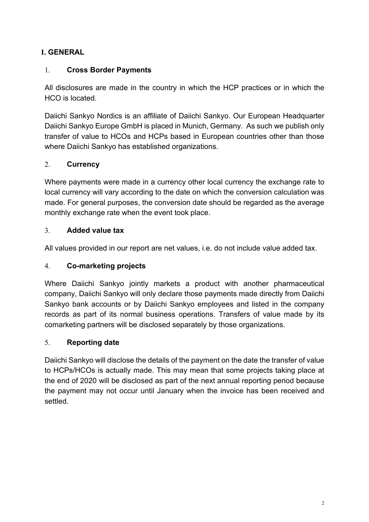## <span id="page-1-0"></span>**I. GENERAL**

## <span id="page-1-1"></span>1. **Cross Border Payments**

All disclosures are made in the country in which the HCP practices or in which the HCO is located.

Daiichi Sankyo Nordics is an affiliate of Daiichi Sankyo. Our European Headquarter Daiichi Sankyo Europe GmbH is placed in Munich, Germany. As such we publish only transfer of value to HCOs and HCPs based in European countries other than those where Daiichi Sankyo has established organizations.

## <span id="page-1-2"></span>2. **Currency**

Where payments were made in a currency other local currency the exchange rate to local currency will vary according to the date on which the conversion calculation was made. For general purposes, the conversion date should be regarded as the average monthly exchange rate when the event took place.

#### <span id="page-1-3"></span>3. **Added value tax**

All values provided in our report are net values, i.e. do not include value added tax.

#### <span id="page-1-4"></span>4. **Co-marketing projects**

Where Daiichi Sankyo jointly markets a product with another pharmaceutical company, Daiichi Sankyo will only declare those payments made directly from Daiichi Sankyo bank accounts or by Daiichi Sankyo employees and listed in the company records as part of its normal business operations. Transfers of value made by its comarketing partners will be disclosed separately by those organizations.

#### <span id="page-1-5"></span>5. **Reporting date**

Daiichi Sankyo will disclose the details of the payment on the date the transfer of value to HCPs/HCOs is actually made. This may mean that some projects taking place at the end of 2020 will be disclosed as part of the next annual reporting period because the payment may not occur until January when the invoice has been received and settled.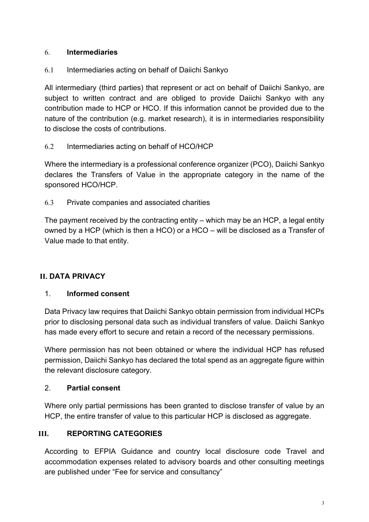## <span id="page-2-0"></span>6. **Intermediaries**

## 6.1 Intermediaries acting on behalf of Daiichi Sankyo

All intermediary (third parties) that represent or act on behalf of Daiichi Sankyo, are subject to written contract and are obliged to provide Daiichi Sankyo with any contribution made to HCP or HCO. If this information cannot be provided due to the nature of the contribution (e.g. market research), it is in intermediaries responsibility to disclose the costs of contributions.

## 6.2 Intermediaries acting on behalf of HCO/HCP

Where the intermediary is a professional conference organizer (PCO), Daiichi Sankyo declares the Transfers of Value in the appropriate category in the name of the sponsored HCO/HCP.

6.3 Private companies and associated charities

The payment received by the contracting entity – which may be an HCP, a legal entity owned by a HCP (which is then a HCO) or a HCO – will be disclosed as a Transfer of Value made to that entity.

## <span id="page-2-1"></span>**II. DATA PRIVACY**

#### <span id="page-2-2"></span>1. **Informed consent**

Data Privacy law requires that Daiichi Sankyo obtain permission from individual HCPs prior to disclosing personal data such as individual transfers of value. Daiichi Sankyo has made every effort to secure and retain a record of the necessary permissions.

Where permission has not been obtained or where the individual HCP has refused permission, Daiichi Sankyo has declared the total spend as an aggregate figure within the relevant disclosure category.

#### <span id="page-2-3"></span>2. **Partial consent**

Where only partial permissions has been granted to disclose transfer of value by an HCP, the entire transfer of value to this particular HCP is disclosed as aggregate.

## <span id="page-2-4"></span>**III. REPORTING CATEGORIES**

According to EFPIA Guidance and country local disclosure code Travel and accommodation expenses related to advisory boards and other consulting meetings are published under "Fee for service and consultancy"